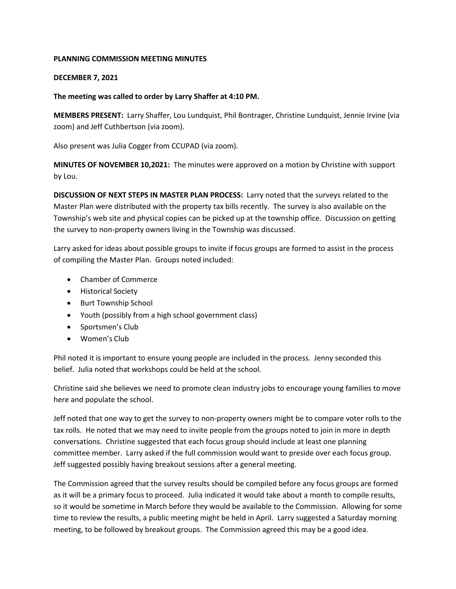## **PLANNING COMMISSION MEETING MINUTES**

## **DECEMBER 7, 2021**

## **The meeting was called to order by Larry Shaffer at 4:10 PM.**

**MEMBERS PRESENT:** Larry Shaffer, Lou Lundquist, Phil Bontrager, Christine Lundquist, Jennie Irvine (via zoom) and Jeff Cuthbertson (via zoom).

Also present was Julia Cogger from CCUPAD (via zoom).

**MINUTES OF NOVEMBER 10,2021:** The minutes were approved on a motion by Christine with support by Lou.

**DISCUSSION OF NEXT STEPS IN MASTER PLAN PROCESS:** Larry noted that the surveys related to the Master Plan were distributed with the property tax bills recently. The survey is also available on the Township's web site and physical copies can be picked up at the township office. Discussion on getting the survey to non-property owners living in the Township was discussed.

Larry asked for ideas about possible groups to invite if focus groups are formed to assist in the process of compiling the Master Plan. Groups noted included:

- Chamber of Commerce
- Historical Society
- Burt Township School
- Youth (possibly from a high school government class)
- Sportsmen's Club
- Women's Club

Phil noted it is important to ensure young people are included in the process. Jenny seconded this belief. Julia noted that workshops could be held at the school.

Christine said she believes we need to promote clean industry jobs to encourage young families to move here and populate the school.

Jeff noted that one way to get the survey to non-property owners might be to compare voter rolls to the tax rolls. He noted that we may need to invite people from the groups noted to join in more in depth conversations. Christine suggested that each focus group should include at least one planning committee member. Larry asked if the full commission would want to preside over each focus group. Jeff suggested possibly having breakout sessions after a general meeting.

The Commission agreed that the survey results should be compiled before any focus groups are formed as it will be a primary focus to proceed. Julia indicated it would take about a month to compile results, so it would be sometime in March before they would be available to the Commission. Allowing for some time to review the results, a public meeting might be held in April. Larry suggested a Saturday morning meeting, to be followed by breakout groups. The Commission agreed this may be a good idea.